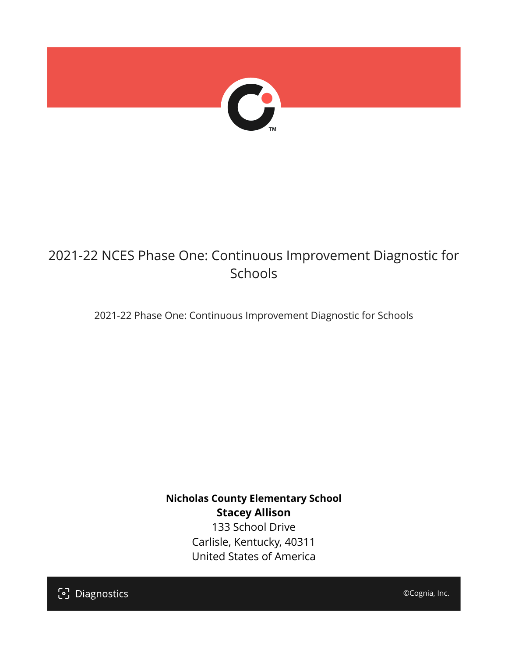

# 2021-22 NCES Phase One: Continuous Improvement Diagnostic for Schools

2021-22 Phase One: Continuous Improvement Diagnostic for Schools

**Nicholas County Elementary School Stacey Allison** 133 School Drive Carlisle, Kentucky, 40311 United States of America

[၁] Diagnostics

©Cognia, Inc.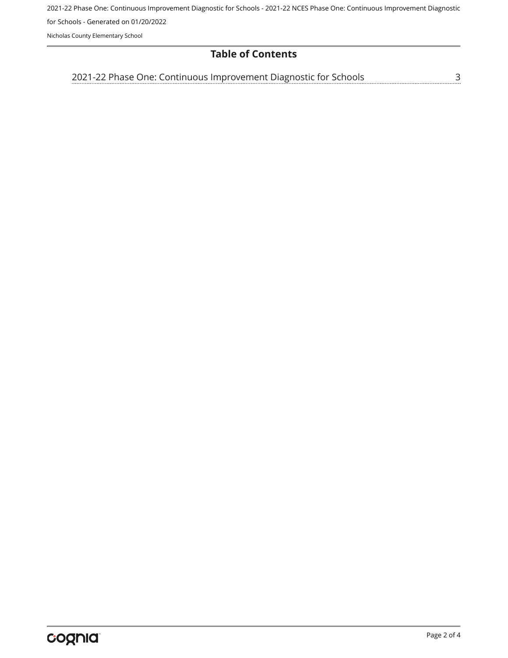2021-22 Phase One: Continuous Improvement Diagnostic for Schools - 2021-22 NCES Phase One: Continuous Improvement Diagnostic for Schools - Generated on 01/20/2022

Nicholas County Elementary School

# **Table of Contents**

<u>[3](#page-2-0)</u> [2021-22 Phase One: Continuous Improvement Diagnostic for Schools](#page-2-0)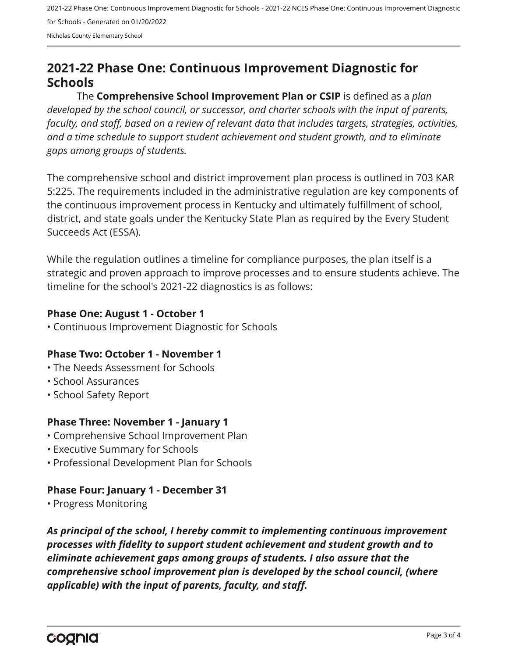2021-22 Phase One: Continuous Improvement Diagnostic for Schools - 2021-22 NCES Phase One: Continuous Improvement Diagnostic for Schools - Generated on 01/20/2022 Nicholas County Elementary School

# <span id="page-2-0"></span>**2021-22 Phase One: Continuous Improvement Diagnostic for Schools**

The **Comprehensive School Improvement Plan or CSIP** is defined as a *plan developed by the school council, or successor, and charter schools with the input of parents, faculty, and staff, based on a review of relevant data that includes targets, strategies, activities, and a time schedule to support student achievement and student growth, and to eliminate gaps among groups of students.*

The comprehensive school and district improvement plan process is outlined in 703 KAR 5:225. The requirements included in the administrative regulation are key components of the continuous improvement process in Kentucky and ultimately fulfillment of school, district, and state goals under the Kentucky State Plan as required by the Every Student Succeeds Act (ESSA).

While the regulation outlines a timeline for compliance purposes, the plan itself is a strategic and proven approach to improve processes and to ensure students achieve. The timeline for the school's 2021-22 diagnostics is as follows:

#### **Phase One: August 1 - October 1**

• Continuous Improvement Diagnostic for Schools

# **Phase Two: October 1 - November 1**

- The Needs Assessment for Schools
- School Assurances
- School Safety Report

# **Phase Three: November 1 - January 1**

- Comprehensive School Improvement Plan
- Executive Summary for Schools
- Professional Development Plan for Schools

# **Phase Four: January 1 - December 31**

• Progress Monitoring

*As principal of the school, I hereby commit to implementing continuous improvement processes with fidelity to support student achievement and student growth and to eliminate achievement gaps among groups of students. I also assure that the comprehensive school improvement plan is developed by the school council, (where applicable) with the input of parents, faculty, and staff.*